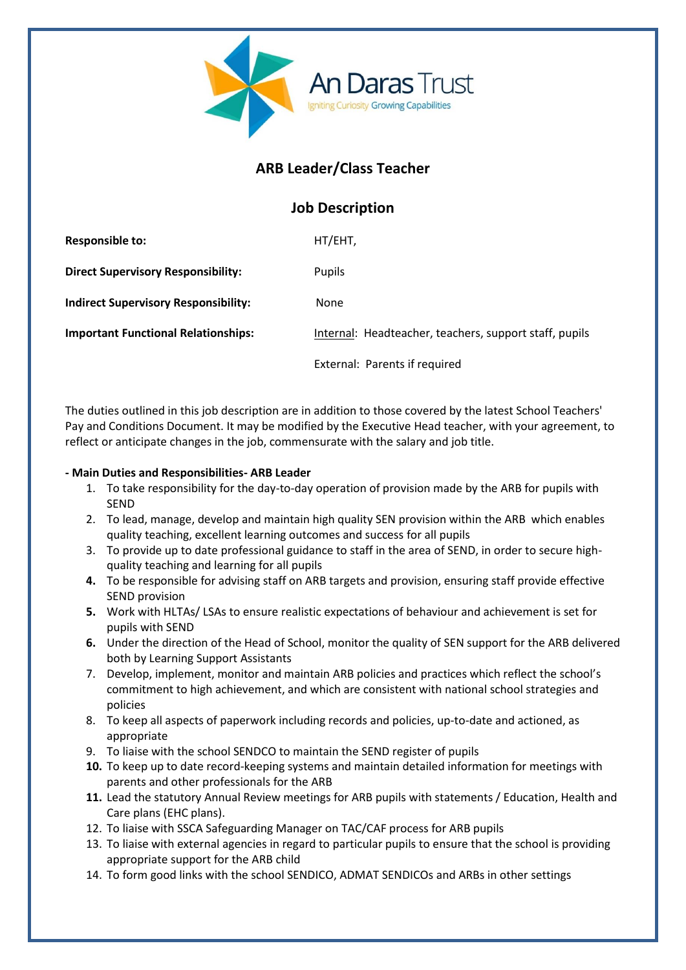

# **ARB Leader/Class Teacher**

## **Job Description**

| <b>Responsible to:</b>                      | HT/EHT,                                                |
|---------------------------------------------|--------------------------------------------------------|
| <b>Direct Supervisory Responsibility:</b>   | Pupils                                                 |
| <b>Indirect Supervisory Responsibility:</b> | <b>None</b>                                            |
| <b>Important Functional Relationships:</b>  | Internal: Headteacher, teachers, support staff, pupils |
|                                             | External: Parents if required                          |

The duties outlined in this job description are in addition to those covered by the latest School Teachers' Pay and Conditions Document. It may be modified by the Executive Head teacher, with your agreement, to reflect or anticipate changes in the job, commensurate with the salary and job title.

## **- Main Duties and Responsibilities- ARB Leader**

- 1. To take responsibility for the day-to-day operation of provision made by the ARB for pupils with SEND
- 2. To lead, manage, develop and maintain high quality SEN provision within the ARB which enables quality teaching, excellent learning outcomes and success for all pupils
- 3. To provide up to date professional guidance to staff in the area of SEND, in order to secure highquality teaching and learning for all pupils
- **4.** To be responsible for advising staff on ARB targets and provision, ensuring staff provide effective SEND provision
- **5.** Work with HLTAs/ LSAs to ensure realistic expectations of behaviour and achievement is set for pupils with SEND
- **6.** Under the direction of the Head of School, monitor the quality of SEN support for the ARB delivered both by Learning Support Assistants
- 7. Develop, implement, monitor and maintain ARB policies and practices which reflect the school's commitment to high achievement, and which are consistent with national school strategies and policies
- 8. To keep all aspects of paperwork including records and policies, up-to-date and actioned, as appropriate
- 9. To liaise with the school SENDCO to maintain the SEND register of pupils
- **10.** To keep up to date record-keeping systems and maintain detailed information for meetings with parents and other professionals for the ARB
- **11.** Lead the statutory Annual Review meetings for ARB pupils with statements / Education, Health and Care plans (EHC plans).
- 12. To liaise with SSCA Safeguarding Manager on TAC/CAF process for ARB pupils
- 13. To liaise with external agencies in regard to particular pupils to ensure that the school is providing appropriate support for the ARB child
- 14. To form good links with the school SENDICO, ADMAT SENDICOs and ARBs in other settings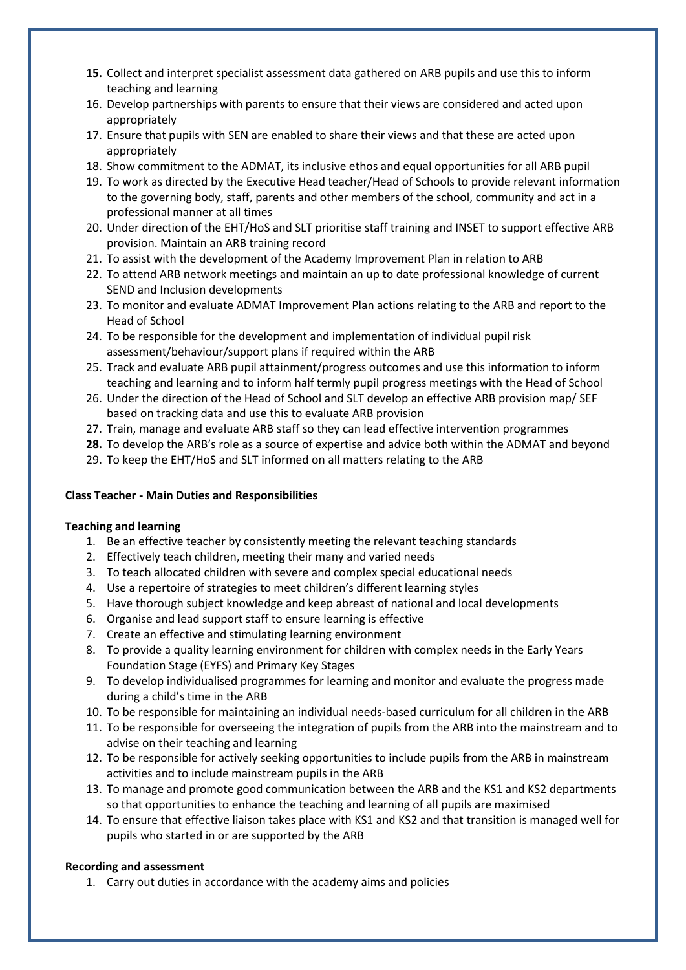- **15.** Collect and interpret specialist assessment data gathered on ARB pupils and use this to inform teaching and learning
- 16. Develop partnerships with parents to ensure that their views are considered and acted upon appropriately
- 17. Ensure that pupils with SEN are enabled to share their views and that these are acted upon appropriately
- 18. Show commitment to the ADMAT, its inclusive ethos and equal opportunities for all ARB pupil
- 19. To work as directed by the Executive Head teacher/Head of Schools to provide relevant information to the governing body, staff, parents and other members of the school, community and act in a professional manner at all times
- 20. Under direction of the EHT/HoS and SLT prioritise staff training and INSET to support effective ARB provision. Maintain an ARB training record
- 21. To assist with the development of the Academy Improvement Plan in relation to ARB
- 22. To attend ARB network meetings and maintain an up to date professional knowledge of current SEND and Inclusion developments
- 23. To monitor and evaluate ADMAT Improvement Plan actions relating to the ARB and report to the Head of School
- 24. To be responsible for the development and implementation of individual pupil risk assessment/behaviour/support plans if required within the ARB
- 25. Track and evaluate ARB pupil attainment/progress outcomes and use this information to inform teaching and learning and to inform half termly pupil progress meetings with the Head of School
- 26. Under the direction of the Head of School and SLT develop an effective ARB provision map/ SEF based on tracking data and use this to evaluate ARB provision
- 27. Train, manage and evaluate ARB staff so they can lead effective intervention programmes
- **28.** To develop the ARB's role as a source of expertise and advice both within the ADMAT and beyond
- 29. To keep the EHT/HoS and SLT informed on all matters relating to the ARB

## **Class Teacher - Main Duties and Responsibilities**

## **Teaching and learning**

- 1. Be an effective teacher by consistently meeting the relevant teaching standards
- 2. Effectively teach children, meeting their many and varied needs
- 3. To teach allocated children with severe and complex special educational needs
- 4. Use a repertoire of strategies to meet children's different learning styles
- 5. Have thorough subject knowledge and keep abreast of national and local developments
- 6. Organise and lead support staff to ensure learning is effective
- 7. Create an effective and stimulating learning environment
- 8. To provide a quality learning environment for children with complex needs in the Early Years Foundation Stage (EYFS) and Primary Key Stages
- 9. To develop individualised programmes for learning and monitor and evaluate the progress made during a child's time in the ARB
- 10. To be responsible for maintaining an individual needs-based curriculum for all children in the ARB
- 11. To be responsible for overseeing the integration of pupils from the ARB into the mainstream and to advise on their teaching and learning
- 12. To be responsible for actively seeking opportunities to include pupils from the ARB in mainstream activities and to include mainstream pupils in the ARB
- 13. To manage and promote good communication between the ARB and the KS1 and KS2 departments so that opportunities to enhance the teaching and learning of all pupils are maximised
- 14. To ensure that effective liaison takes place with KS1 and KS2 and that transition is managed well for pupils who started in or are supported by the ARB

## **Recording and assessment**

1. Carry out duties in accordance with the academy aims and policies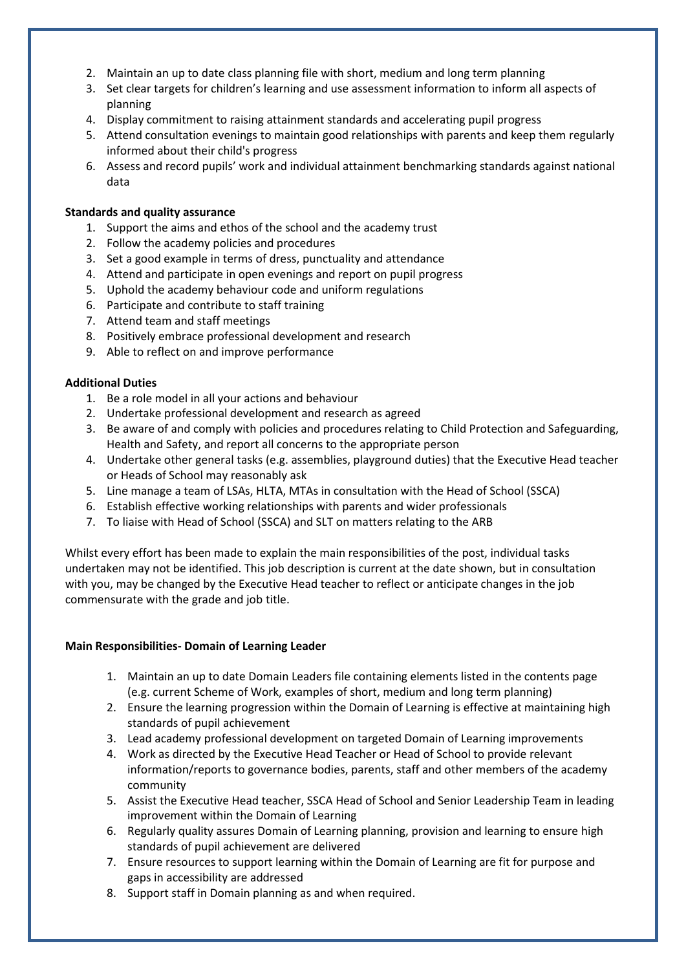- 2. Maintain an up to date class planning file with short, medium and long term planning
- 3. Set clear targets for children's learning and use assessment information to inform all aspects of planning
- 4. Display commitment to raising attainment standards and accelerating pupil progress
- 5. Attend consultation evenings to maintain good relationships with parents and keep them regularly informed about their child's progress
- 6. Assess and record pupils' work and individual attainment benchmarking standards against national data

#### **Standards and quality assurance**

- 1. Support the aims and ethos of the school and the academy trust
- 2. Follow the academy policies and procedures
- 3. Set a good example in terms of dress, punctuality and attendance
- 4. Attend and participate in open evenings and report on pupil progress
- 5. Uphold the academy behaviour code and uniform regulations
- 6. Participate and contribute to staff training
- 7. Attend team and staff meetings
- 8. Positively embrace professional development and research
- 9. Able to reflect on and improve performance

#### **Additional Duties**

- 1. Be a role model in all your actions and behaviour
- 2. Undertake professional development and research as agreed
- 3. Be aware of and comply with policies and procedures relating to Child Protection and Safeguarding, Health and Safety, and report all concerns to the appropriate person
- 4. Undertake other general tasks (e.g. assemblies, playground duties) that the Executive Head teacher or Heads of School may reasonably ask
- 5. Line manage a team of LSAs, HLTA, MTAs in consultation with the Head of School (SSCA)
- 6. Establish effective working relationships with parents and wider professionals
- 7. To liaise with Head of School (SSCA) and SLT on matters relating to the ARB

Whilst every effort has been made to explain the main responsibilities of the post, individual tasks undertaken may not be identified. This job description is current at the date shown, but in consultation with you, may be changed by the Executive Head teacher to reflect or anticipate changes in the job commensurate with the grade and job title.

#### **Main Responsibilities- Domain of Learning Leader**

- 1. Maintain an up to date Domain Leaders file containing elements listed in the contents page (e.g. current Scheme of Work, examples of short, medium and long term planning)
- 2. Ensure the learning progression within the Domain of Learning is effective at maintaining high standards of pupil achievement
- 3. Lead academy professional development on targeted Domain of Learning improvements
- 4. Work as directed by the Executive Head Teacher or Head of School to provide relevant information/reports to governance bodies, parents, staff and other members of the academy community
- 5. Assist the Executive Head teacher, SSCA Head of School and Senior Leadership Team in leading improvement within the Domain of Learning
- 6. Regularly quality assures Domain of Learning planning, provision and learning to ensure high standards of pupil achievement are delivered
- 7. Ensure resources to support learning within the Domain of Learning are fit for purpose and gaps in accessibility are addressed
- 8. Support staff in Domain planning as and when required.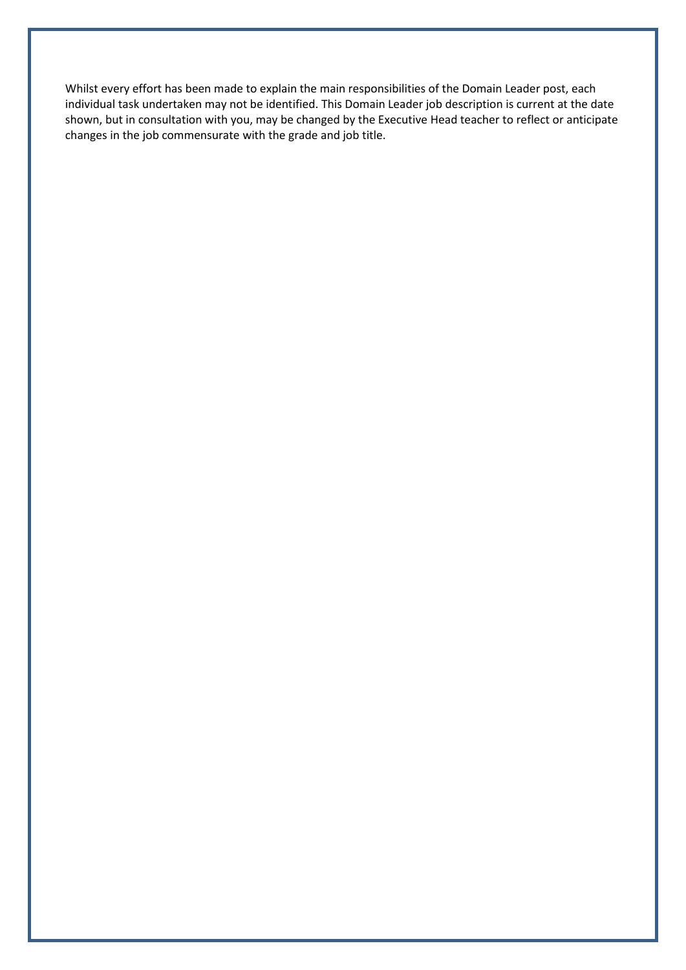Whilst every effort has been made to explain the main responsibilities of the Domain Leader post, each individual task undertaken may not be identified. This Domain Leader job description is current at the date shown, but in consultation with you, may be changed by the Executive Head teacher to reflect or anticipate changes in the job commensurate with the grade and job title.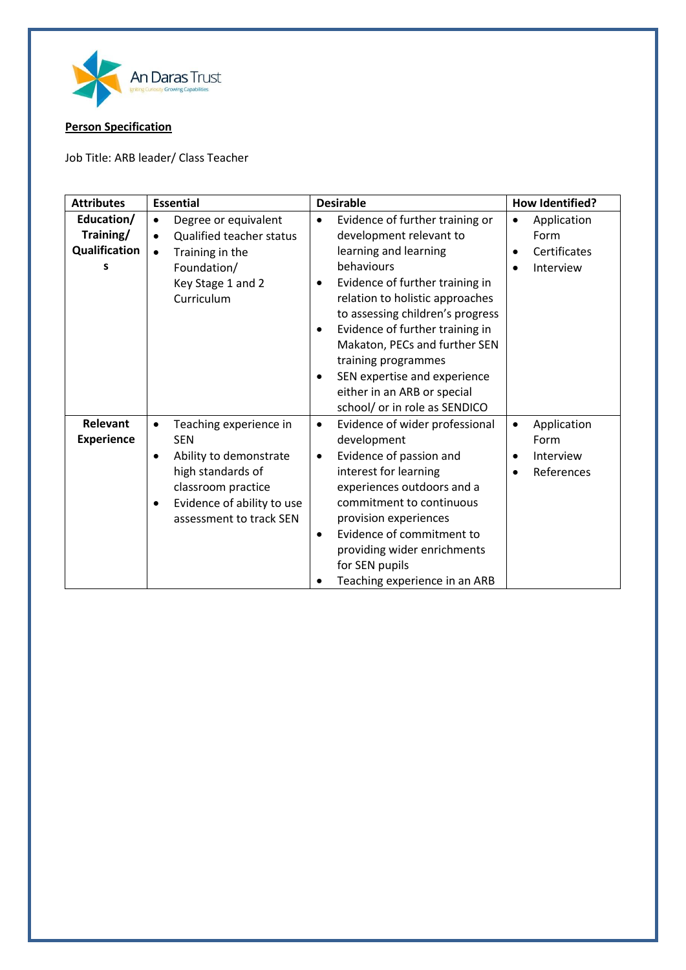

## **Person Specification**

Job Title: ARB leader/ Class Teacher

| <b>Attributes</b>                                    | <b>Essential</b>                                                                                                                                                                          | <b>Desirable</b>                                                                                                                                                                                                                                                                                                                                                                                                                      | <b>How Identified?</b>                                                                  |
|------------------------------------------------------|-------------------------------------------------------------------------------------------------------------------------------------------------------------------------------------------|---------------------------------------------------------------------------------------------------------------------------------------------------------------------------------------------------------------------------------------------------------------------------------------------------------------------------------------------------------------------------------------------------------------------------------------|-----------------------------------------------------------------------------------------|
| Education/<br>Training/<br><b>Qualification</b><br>s | Degree or equivalent<br>$\bullet$<br>Qualified teacher status<br>$\bullet$<br>Training in the<br>$\bullet$<br>Foundation/<br>Key Stage 1 and 2<br>Curriculum                              | Evidence of further training or<br>$\bullet$<br>development relevant to<br>learning and learning<br>behaviours<br>Evidence of further training in<br>٠<br>relation to holistic approaches<br>to assessing children's progress<br>Evidence of further training in<br>$\bullet$<br>Makaton, PECs and further SEN<br>training programmes<br>SEN expertise and experience<br>either in an ARB or special<br>school/ or in role as SENDICO | Application<br>$\bullet$<br>Form<br>Certificates<br>$\bullet$<br>Interview<br>$\bullet$ |
| <b>Relevant</b><br><b>Experience</b>                 | Teaching experience in<br>$\bullet$<br><b>SEN</b><br>Ability to demonstrate<br>٠<br>high standards of<br>classroom practice<br>Evidence of ability to use<br>٠<br>assessment to track SEN | Evidence of wider professional<br>$\bullet$<br>development<br>Evidence of passion and<br>$\bullet$<br>interest for learning<br>experiences outdoors and a<br>commitment to continuous<br>provision experiences<br>Evidence of commitment to<br>$\bullet$<br>providing wider enrichments<br>for SEN pupils<br>Teaching experience in an ARB                                                                                            | Application<br>٠<br>Form<br>Interview<br>٠<br>References<br>٠                           |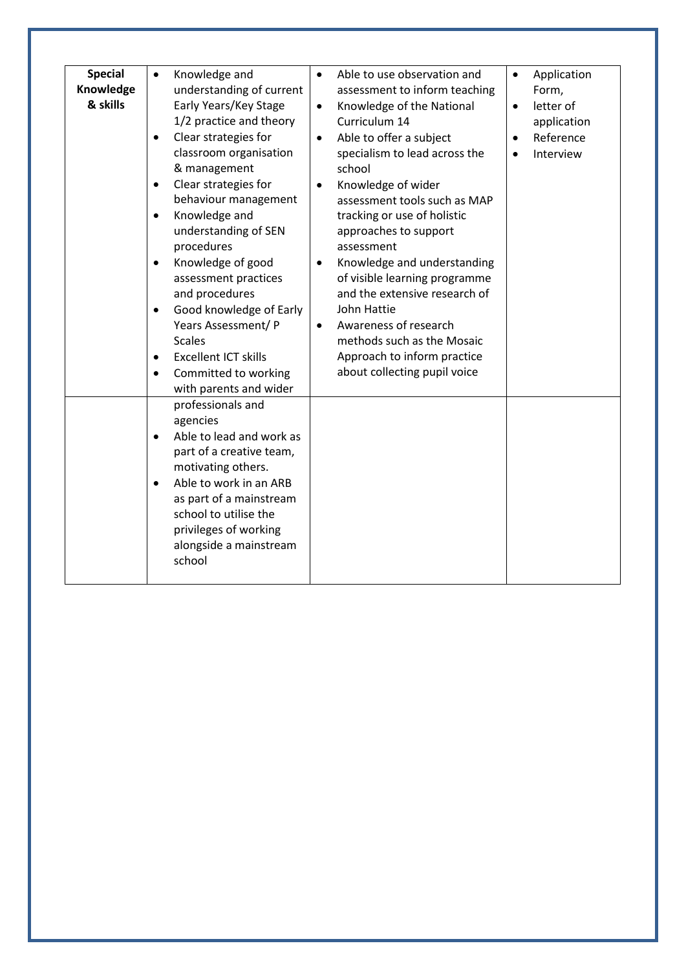| <b>Special</b><br>Knowledge<br>& skills | Knowledge and<br>$\bullet$<br>understanding of current<br>Early Years/Key Stage<br>1/2 practice and theory<br>Clear strategies for<br>$\bullet$<br>classroom organisation<br>& management<br>Clear strategies for<br>$\bullet$<br>behaviour management<br>Knowledge and<br>$\bullet$<br>understanding of SEN<br>procedures<br>Knowledge of good<br>$\bullet$<br>assessment practices<br>and procedures<br>Good knowledge of Early<br>$\bullet$<br>Years Assessment/ P<br><b>Scales</b><br><b>Excellent ICT skills</b><br>$\bullet$<br>Committed to working<br>with parents and wider | Able to use observation and<br>$\bullet$<br>assessment to inform teaching<br>Knowledge of the National<br>$\bullet$<br>Curriculum 14<br>Able to offer a subject<br>$\bullet$<br>specialism to lead across the<br>school<br>Knowledge of wider<br>$\bullet$<br>assessment tools such as MAP<br>tracking or use of holistic<br>approaches to support<br>assessment<br>Knowledge and understanding<br>٠<br>of visible learning programme<br>and the extensive research of<br>John Hattie<br>Awareness of research<br>$\bullet$<br>methods such as the Mosaic<br>Approach to inform practice<br>about collecting pupil voice | Application<br>$\bullet$<br>Form,<br>letter of<br>$\bullet$<br>application<br>Reference<br>$\bullet$<br>Interview<br>$\bullet$ |
|-----------------------------------------|--------------------------------------------------------------------------------------------------------------------------------------------------------------------------------------------------------------------------------------------------------------------------------------------------------------------------------------------------------------------------------------------------------------------------------------------------------------------------------------------------------------------------------------------------------------------------------------|--------------------------------------------------------------------------------------------------------------------------------------------------------------------------------------------------------------------------------------------------------------------------------------------------------------------------------------------------------------------------------------------------------------------------------------------------------------------------------------------------------------------------------------------------------------------------------------------------------------------------|--------------------------------------------------------------------------------------------------------------------------------|
|                                         | professionals and<br>agencies<br>Able to lead and work as<br>$\bullet$<br>part of a creative team,<br>motivating others.<br>Able to work in an ARB<br>$\bullet$<br>as part of a mainstream<br>school to utilise the<br>privileges of working<br>alongside a mainstream<br>school                                                                                                                                                                                                                                                                                                     |                                                                                                                                                                                                                                                                                                                                                                                                                                                                                                                                                                                                                          |                                                                                                                                |